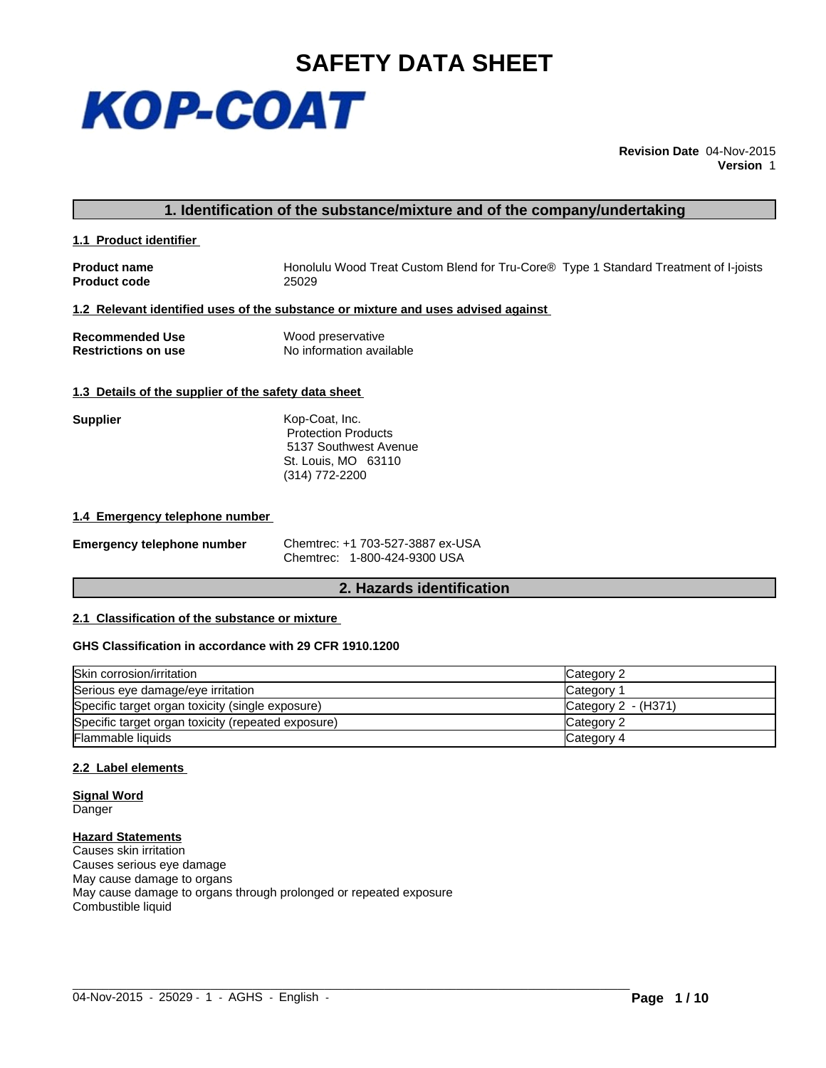

**Revision Date** 04-Nov-2015 **Version** 1

# **1. Identification of the substance/mixture and of the company/undertaking**

**1.1 Product identifier** 

**Product code** 

**Product name Honolulu Wood Treat Custom Blend for Tru-Core®** Type 1 Standard Treatment of I-joists<br> **Product code** 25029

# **1.2 Relevant identified uses of the substance or mixture and uses advised against**

| <b>Recommended Use</b>     | Wood preservative        |
|----------------------------|--------------------------|
| <b>Restrictions on use</b> | No information available |

# **1.3 Details of the supplier of the safety data sheet**

| <b>Supplier</b> | Kop-Coat, Inc.             |
|-----------------|----------------------------|
|                 | <b>Protection Products</b> |
|                 | 5137 Southwest Avenue      |
|                 | St. Louis, MO 63110        |
|                 | $(314) 772 - 2200$         |

## **1.4 Emergency telephone number**

| <b>Emergency telephone number</b> | Chemtre |
|-----------------------------------|---------|
|                                   |         |

**Emergency telephone number** Chemtrec: +1 703-527-3887 ex-USA Chemtrec: 1-800-424-9300 USA

# **2. Hazards identification**

# **2.1 Classification of the substance or mixture**

# **GHS Classification in accordance with 29 CFR 1910.1200**

| Skin corrosion/irritation                          | Category 2          |
|----------------------------------------------------|---------------------|
| Serious eye damage/eye irritation                  | Category 1          |
| Specific target organ toxicity (single exposure)   | Category 2 - (H371) |
| Specific target organ toxicity (repeated exposure) | Category 2          |
| Flammable liquids                                  | Category 4          |

 $\_$  ,  $\_$  ,  $\_$  ,  $\_$  ,  $\_$  ,  $\_$  ,  $\_$  ,  $\_$  ,  $\_$  ,  $\_$  ,  $\_$  ,  $\_$  ,  $\_$  ,  $\_$  ,  $\_$  ,  $\_$  ,  $\_$  ,  $\_$  ,  $\_$  ,  $\_$  ,  $\_$  ,  $\_$  ,  $\_$  ,  $\_$  ,  $\_$  ,  $\_$  ,  $\_$  ,  $\_$  ,  $\_$  ,  $\_$  ,  $\_$  ,  $\_$  ,  $\_$  ,  $\_$  ,  $\_$  ,  $\_$  ,  $\_$  ,

# **2.2 Label elements**

**Signal Word Danger** 

**Hazard Statements** Causes skin irritation Causes serious eye damage May cause damage to organs May cause damage to organs through prolonged or repeated exposure Combustible liquid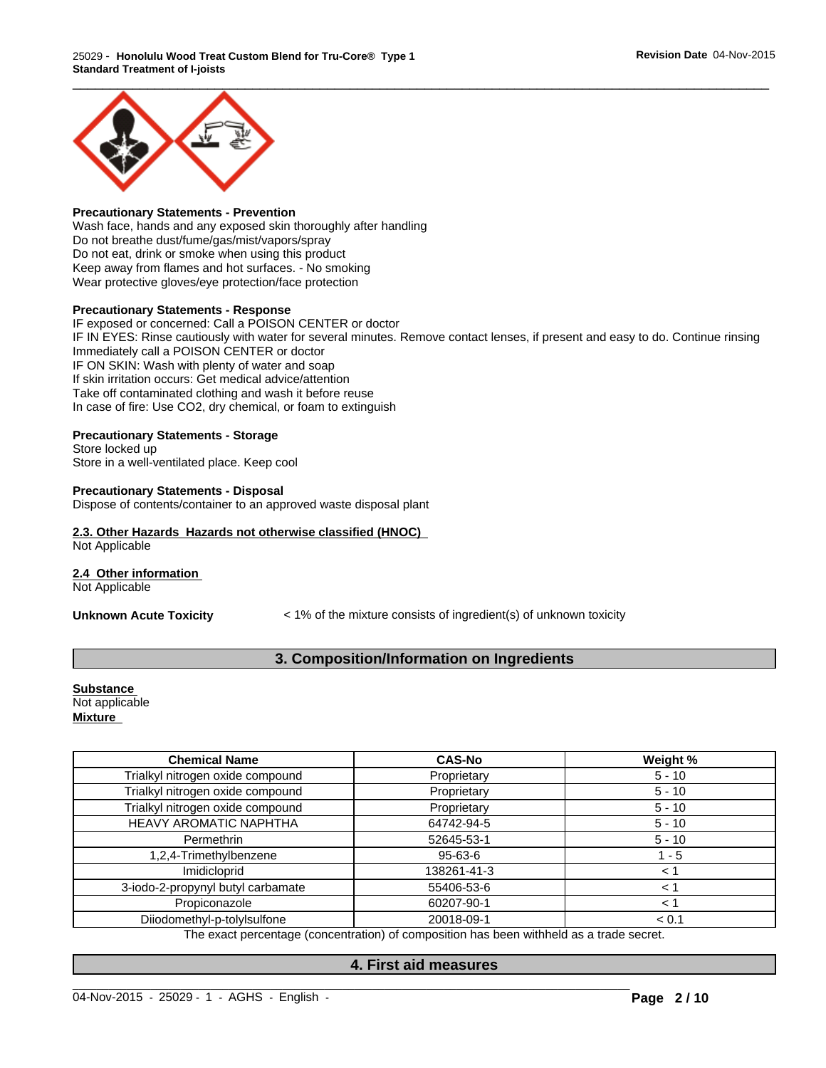

# **Precautionary Statements - Prevention**

Wash face, hands and any exposed skin thoroughly after handling Do not breathe dust/fume/gas/mist/vapors/spray Do not eat, drink or smoke when using this product Keep away from flames and hot surfaces. - No smoking Wear protective gloves/eye protection/face protection

## **Precautionary Statements - Response**

IF exposed or concerned: Call a POISON CENTER or doctor IF IN EYES: Rinse cautiously with water for several minutes. Remove contact lenses, if present and easy to do. Continue rinsing Immediately call a POISON CENTER or doctor IF ON SKIN: Wash with plenty of water and soap If skin irritation occurs: Get medical advice/attention Take off contaminated clothing and wash it before reuse In case of fire: Use CO2, dry chemical, or foam to extinguish

# **Precautionary Statements - Storage**

Store locked up Store in a well-ventilated place. Keep cool

## **Precautionary Statements - Disposal**

Dispose of contents/container to an approved waste disposal plant

# **2.3. Other Hazards Hazards not otherwise classified (HNOC)**

Not Applicable

# **2.4 Other information**

Not Applicable

**Unknown Acute Toxicity**  $\leq 1\%$  of the mixture consists of ingredient(s) of unknown toxicity

# **3. Composition/Information on Ingredients**

**Substance**  Not applicable **Mixture** 

| <b>Chemical Name</b>              | <b>CAS-No</b> | Weight % |
|-----------------------------------|---------------|----------|
| Trialkyl nitrogen oxide compound  | Proprietary   | $5 - 10$ |
| Trialkyl nitrogen oxide compound  | Proprietary   | $5 - 10$ |
| Trialkyl nitrogen oxide compound  | Proprietary   | $5 - 10$ |
| HEAVY AROMATIC NAPHTHA            | 64742-94-5    | $5 - 10$ |
| Permethrin                        | 52645-53-1    | $5 - 10$ |
| 1,2,4-Trimethylbenzene            | 95-63-6       | 1 - 5    |
| Imidicloprid                      | 138261-41-3   | 1 >      |
| 3-iodo-2-propynyl butyl carbamate | 55406-53-6    | ← 1      |
| Propiconazole                     | 60207-90-1    |          |
| Diiodomethyl-p-tolylsulfone       | 20018-09-1    | < 0.1    |

The exact percentage (concentration) of composition has been withheld as a trade secret.

# **4. First aid measures**

 $\_$  ,  $\_$  ,  $\_$  ,  $\_$  ,  $\_$  ,  $\_$  ,  $\_$  ,  $\_$  ,  $\_$  ,  $\_$  ,  $\_$  ,  $\_$  ,  $\_$  ,  $\_$  ,  $\_$  ,  $\_$  ,  $\_$  ,  $\_$  ,  $\_$  ,  $\_$  ,  $\_$  ,  $\_$  ,  $\_$  ,  $\_$  ,  $\_$  ,  $\_$  ,  $\_$  ,  $\_$  ,  $\_$  ,  $\_$  ,  $\_$  ,  $\_$  ,  $\_$  ,  $\_$  ,  $\_$  ,  $\_$  ,  $\_$  ,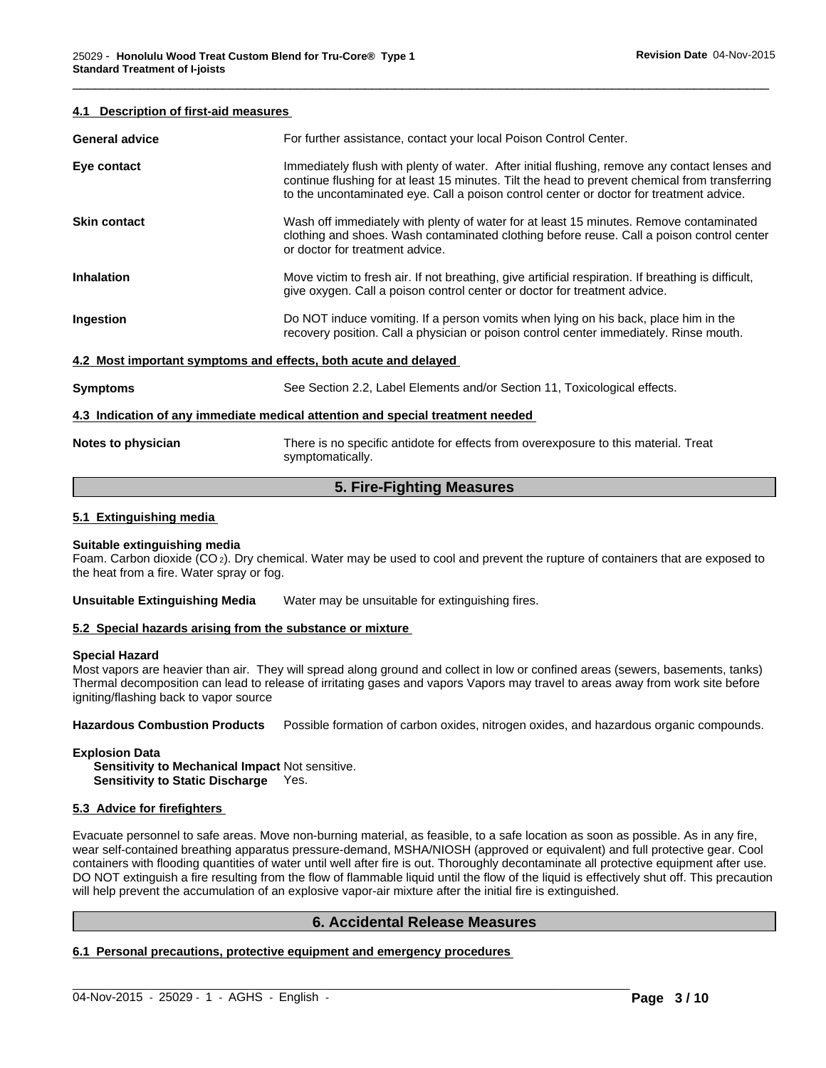## **4.1 Description of first-aid measures**

| <b>General advice</b>                                                          | For further assistance, contact your local Poison Control Center.                                                                                                                                                                                                                          |  |
|--------------------------------------------------------------------------------|--------------------------------------------------------------------------------------------------------------------------------------------------------------------------------------------------------------------------------------------------------------------------------------------|--|
| Eye contact                                                                    | Immediately flush with plenty of water. After initial flushing, remove any contact lenses and<br>continue flushing for at least 15 minutes. Tilt the head to prevent chemical from transferring<br>to the uncontaminated eye. Call a poison control center or doctor for treatment advice. |  |
| <b>Skin contact</b>                                                            | Wash off immediately with plenty of water for at least 15 minutes. Remove contaminated<br>clothing and shoes. Wash contaminated clothing before reuse. Call a poison control center<br>or doctor for treatment advice.                                                                     |  |
| <b>Inhalation</b>                                                              | Move victim to fresh air. If not breathing, give artificial respiration. If breathing is difficult,<br>give oxygen. Call a poison control center or doctor for treatment advice.                                                                                                           |  |
| Ingestion                                                                      | Do NOT induce vomiting. If a person vomits when lying on his back, place him in the<br>recovery position. Call a physician or poison control center immediately. Rinse mouth.                                                                                                              |  |
| 4.2 Most important symptoms and effects, both acute and delayed                |                                                                                                                                                                                                                                                                                            |  |
| <b>Symptoms</b>                                                                | See Section 2.2, Label Elements and/or Section 11, Toxicological effects.                                                                                                                                                                                                                  |  |
| 4.3 Indication of any immediate medical attention and special treatment needed |                                                                                                                                                                                                                                                                                            |  |
| Notes to physician                                                             | There is no specific antidote for effects from overexposure to this material. Treat<br>symptomatically.                                                                                                                                                                                    |  |
|                                                                                |                                                                                                                                                                                                                                                                                            |  |

\_\_\_\_\_\_\_\_\_\_\_\_\_\_\_\_\_\_\_\_\_\_\_\_\_\_\_\_\_\_\_\_\_\_\_\_\_\_\_\_\_\_\_\_\_\_\_\_\_\_\_\_\_\_\_\_\_\_\_\_\_\_\_\_\_\_\_\_\_\_\_\_\_\_\_\_\_\_\_\_\_\_\_\_\_\_\_\_\_\_\_\_\_

# **5. Fire-Fighting Measures**

## **5.1 Extinguishing media**

#### **Suitable extinguishing media**

Foam. Carbon dioxide (CO 2). Dry chemical. Water may be used to cool and prevent the rupture of containers that are exposed to the heat from a fire. Water spray or fog.

**Unsuitable Extinguishing Media** Water may be unsuitable for extinguishing fires.

#### **5.2 Special hazards arising from the substance or mixture**

#### **Special Hazard**

Most vapors are heavier than air. They will spread along ground and collect in low or confined areas (sewers, basements, tanks) Thermal decomposition can lead to release of irritating gases and vapors Vapors may travel to areas away from work site before igniting/flashing back to vapor source

**Hazardous Combustion Products** Possible formation of carbon oxides, nitrogen oxides, and hazardous organic compounds.

#### **Explosion Data**

**Sensitivity to Mechanical Impact** Not sensitive. **Sensitivity to Static Discharge** Yes.

# **5.3 Advice for firefighters**

Evacuate personnel to safe areas. Move non-burning material, as feasible, to a safe location as soon as possible. As in any fire, wear self-contained breathing apparatus pressure-demand, MSHA/NIOSH (approved or equivalent) and full protective gear. Cool containers with flooding quantities of water until well after fire is out. Thoroughly decontaminate all protective equipment after use. DO NOT extinguish a fire resulting from the flow of flammable liquid until the flow of the liquid is effectively shut off. This precaution will help prevent the accumulation of an explosive vapor-air mixture after the initial fire is extinguished.

# **6. Accidental Release Measures**

 $\_$  ,  $\_$  ,  $\_$  ,  $\_$  ,  $\_$  ,  $\_$  ,  $\_$  ,  $\_$  ,  $\_$  ,  $\_$  ,  $\_$  ,  $\_$  ,  $\_$  ,  $\_$  ,  $\_$  ,  $\_$  ,  $\_$  ,  $\_$  ,  $\_$  ,  $\_$  ,  $\_$  ,  $\_$  ,  $\_$  ,  $\_$  ,  $\_$  ,  $\_$  ,  $\_$  ,  $\_$  ,  $\_$  ,  $\_$  ,  $\_$  ,  $\_$  ,  $\_$  ,  $\_$  ,  $\_$  ,  $\_$  ,  $\_$  ,

# **6.1 Personal precautions, protective equipment and emergency procedures**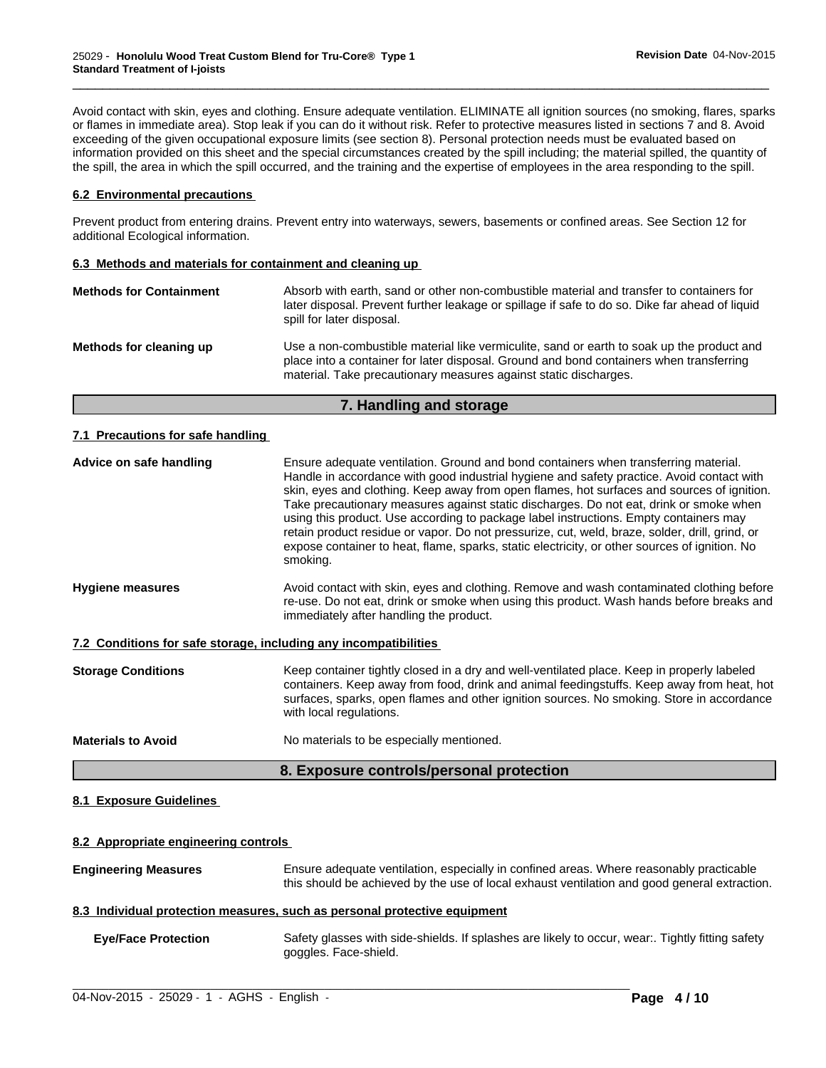Avoid contact with skin, eyes and clothing. Ensure adequate ventilation. ELIMINATE all ignition sources (no smoking, flares, sparks or flames in immediate area). Stop leak if you can do it without risk. Refer to protective measures listed in sections 7 and 8. Avoid exceeding of the given occupational exposure limits (see section 8). Personal protection needs must be evaluated based on information provided on this sheet and the special circumstances created by the spill including; the material spilled, the quantity of the spill, the area in which the spill occurred, and the training and the expertise of employees in the area responding to the spill.

\_\_\_\_\_\_\_\_\_\_\_\_\_\_\_\_\_\_\_\_\_\_\_\_\_\_\_\_\_\_\_\_\_\_\_\_\_\_\_\_\_\_\_\_\_\_\_\_\_\_\_\_\_\_\_\_\_\_\_\_\_\_\_\_\_\_\_\_\_\_\_\_\_\_\_\_\_\_\_\_\_\_\_\_\_\_\_\_\_\_\_\_\_

# **6.2 Environmental precautions**

Prevent product from entering drains. Prevent entry into waterways, sewers, basements or confined areas. See Section 12 for additional Ecological information.

# **6.3 Methods and materials for containment and cleaning up**

| <b>Methods for Containment</b> | Absorb with earth, sand or other non-combustible material and transfer to containers for<br>later disposal. Prevent further leakage or spillage if safe to do so. Dike far ahead of liquid<br>spill for later disposal.                                  |
|--------------------------------|----------------------------------------------------------------------------------------------------------------------------------------------------------------------------------------------------------------------------------------------------------|
| Methods for cleaning up        | Use a non-combustible material like vermiculite, sand or earth to soak up the product and<br>place into a container for later disposal. Ground and bond containers when transferring<br>material. Take precautionary measures against static discharges. |

# **7. Handling and storage**

# **7.1 Precautions for safe handling**

# **8.1 Exposure Guidelines**

# **8.2 Appropriate engineering controls**

| Ensure adequate ventilation, especially in confined areas. Where reasonably practicable<br><b>Engineering Measures</b><br>this should be achieved by the use of local exhaust ventilation and good general extraction. |                                                                                                                         |
|------------------------------------------------------------------------------------------------------------------------------------------------------------------------------------------------------------------------|-------------------------------------------------------------------------------------------------------------------------|
|                                                                                                                                                                                                                        | 8.3 Individual protection measures, such as personal protective equipment                                               |
| <b>Eye/Face Protection</b>                                                                                                                                                                                             | Safety glasses with side-shields. If splashes are likely to occur, wear Tightly fitting safety<br>goggles. Face-shield. |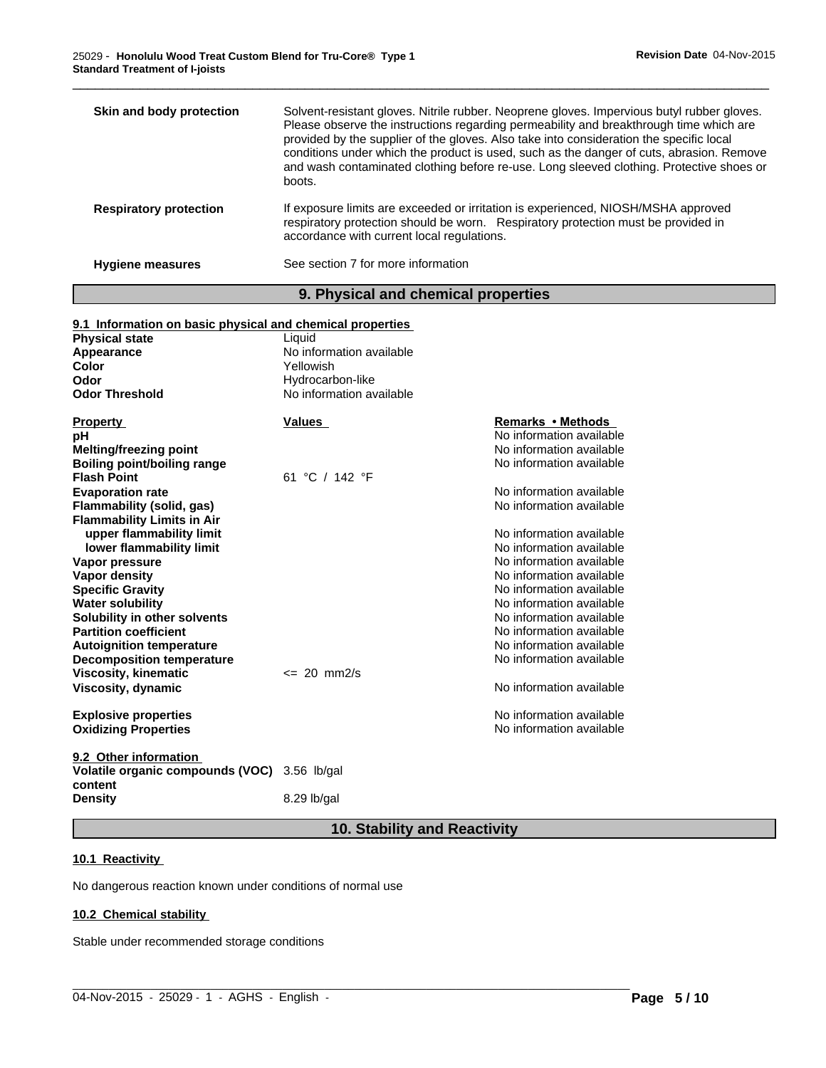| Skin and body protection      | Solvent-resistant gloves. Nitrile rubber. Neoprene gloves. Impervious butyl rubber gloves.<br>Please observe the instructions regarding permeability and breakthrough time which are<br>provided by the supplier of the gloves. Also take into consideration the specific local<br>conditions under which the product is used, such as the danger of cuts, abrasion. Remove<br>and wash contaminated clothing before re-use. Long sleeved clothing. Protective shoes or<br>boots. |
|-------------------------------|-----------------------------------------------------------------------------------------------------------------------------------------------------------------------------------------------------------------------------------------------------------------------------------------------------------------------------------------------------------------------------------------------------------------------------------------------------------------------------------|
| <b>Respiratory protection</b> | If exposure limits are exceeded or irritation is experienced, NIOSH/MSHA approved<br>respiratory protection should be worn. Respiratory protection must be provided in<br>accordance with current local regulations.                                                                                                                                                                                                                                                              |
| <b>Hygiene measures</b>       | See section 7 for more information                                                                                                                                                                                                                                                                                                                                                                                                                                                |

\_\_\_\_\_\_\_\_\_\_\_\_\_\_\_\_\_\_\_\_\_\_\_\_\_\_\_\_\_\_\_\_\_\_\_\_\_\_\_\_\_\_\_\_\_\_\_\_\_\_\_\_\_\_\_\_\_\_\_\_\_\_\_\_\_\_\_\_\_\_\_\_\_\_\_\_\_\_\_\_\_\_\_\_\_\_\_\_\_\_\_\_\_

# **9. Physical and chemical properties**

| 9.1 Information on basic physical and chemical properties |                          |                          |
|-----------------------------------------------------------|--------------------------|--------------------------|
| <b>Physical state</b>                                     | Liquid                   |                          |
| Appearance                                                | No information available |                          |
| <b>Color</b>                                              | Yellowish                |                          |
| Odor                                                      | Hydrocarbon-like         |                          |
| <b>Odor Threshold</b>                                     | No information available |                          |
| <b>Property</b>                                           | <b>Values</b>            | <b>Remarks • Methods</b> |
| рH                                                        |                          | No information available |
| <b>Melting/freezing point</b>                             |                          | No information available |
| <b>Boiling point/boiling range</b>                        |                          | No information available |
| <b>Flash Point</b>                                        | 61 °C / 142 °F           |                          |
| <b>Evaporation rate</b>                                   |                          | No information available |
| Flammability (solid, gas)                                 |                          | No information available |
| <b>Flammability Limits in Air</b>                         |                          |                          |
| upper flammability limit                                  |                          | No information available |
| lower flammability limit                                  |                          | No information available |
| Vapor pressure                                            |                          | No information available |
| <b>Vapor density</b>                                      |                          | No information available |
| <b>Specific Gravity</b>                                   |                          | No information available |
| <b>Water solubility</b>                                   |                          | No information available |
| Solubility in other solvents                              |                          | No information available |
| <b>Partition coefficient</b>                              |                          | No information available |
| <b>Autoignition temperature</b>                           |                          | No information available |
| <b>Decomposition temperature</b>                          |                          | No information available |
| <b>Viscosity, kinematic</b>                               | $\leq$ 20 mm2/s          |                          |
| Viscosity, dynamic                                        |                          | No information available |
| <b>Explosive properties</b>                               |                          | No information available |
| <b>Oxidizing Properties</b>                               |                          | No information available |
| 9.2 Other information                                     |                          |                          |
| Volatile organic compounds (VOC)<br>content               | $3.56$ lb/gal            |                          |
| <b>Density</b>                                            | 8.29 lb/gal              |                          |

# **10. Stability and Reactivity**

 $\_$  ,  $\_$  ,  $\_$  ,  $\_$  ,  $\_$  ,  $\_$  ,  $\_$  ,  $\_$  ,  $\_$  ,  $\_$  ,  $\_$  ,  $\_$  ,  $\_$  ,  $\_$  ,  $\_$  ,  $\_$  ,  $\_$  ,  $\_$  ,  $\_$  ,  $\_$  ,  $\_$  ,  $\_$  ,  $\_$  ,  $\_$  ,  $\_$  ,  $\_$  ,  $\_$  ,  $\_$  ,  $\_$  ,  $\_$  ,  $\_$  ,  $\_$  ,  $\_$  ,  $\_$  ,  $\_$  ,  $\_$  ,  $\_$  ,

# **10.1 Reactivity**

No dangerous reaction known under conditions of normal use

# **10.2 Chemical stability**

Stable under recommended storage conditions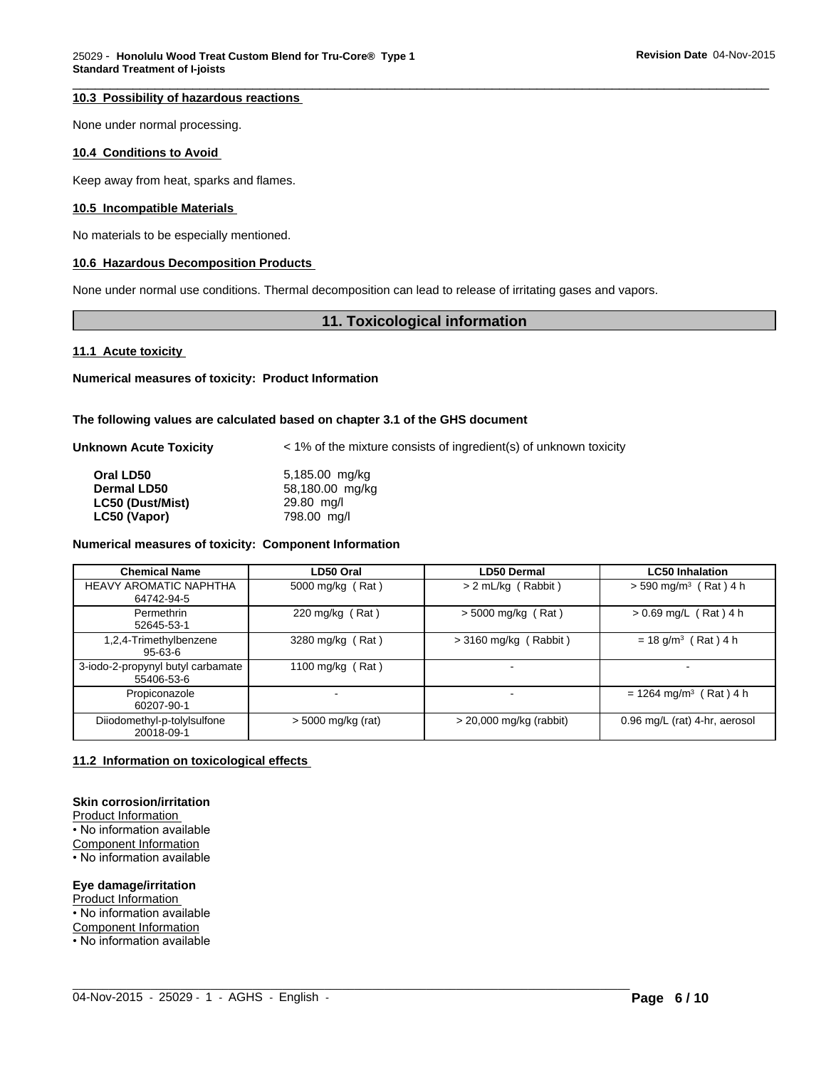# **10.3 Possibility of hazardous reactions**

None under normal processing.

## **10.4 Conditions to Avoid**

Keep away from heat, sparks and flames.

# **10.5 Incompatible Materials**

No materials to be especially mentioned.

# **10.6 Hazardous Decomposition Products**

None under normal use conditions. Thermal decomposition can lead to release of irritating gases and vapors.

# **11. Toxicological information**

\_\_\_\_\_\_\_\_\_\_\_\_\_\_\_\_\_\_\_\_\_\_\_\_\_\_\_\_\_\_\_\_\_\_\_\_\_\_\_\_\_\_\_\_\_\_\_\_\_\_\_\_\_\_\_\_\_\_\_\_\_\_\_\_\_\_\_\_\_\_\_\_\_\_\_\_\_\_\_\_\_\_\_\_\_\_\_\_\_\_\_\_\_

**11.1 Acute toxicity** 

**Numerical measures of toxicity: Product Information**

#### **The following values are calculated based on chapter 3.1 of the GHS document**

**Unknown Acute Toxicity**  $\lt$  1% of the mixture consists of ingredient(s) of unknown toxicity

| Oral LD50          | 5,185.00 mg/kg  |
|--------------------|-----------------|
| <b>Dermal LD50</b> | 58,180.00 mg/kg |
| LC50 (Dust/Mist)   | 29.80 mg/l      |
| LC50 (Vapor)       | 798.00 ma/l     |

## **Numerical measures of toxicity: Component Information**

| <b>Chemical Name</b>                            | LD50 Oral            | <b>LD50 Dermal</b>        | <b>LC50 Inhalation</b>               |
|-------------------------------------------------|----------------------|---------------------------|--------------------------------------|
| <b>HEAVY AROMATIC NAPHTHA</b><br>64742-94-5     | 5000 mg/kg (Rat)     | > 2 mL/kg (Rabbit)        | $>$ 590 mg/m <sup>3</sup> (Rat) 4 h  |
| Permethrin<br>52645-53-1                        | 220 mg/kg (Rat)      | $>$ 5000 mg/kg (Rat)      | $> 0.69$ mg/L (Rat) 4 h              |
| 1,2,4-Trimethylbenzene<br>$95 - 63 - 6$         | 3280 mg/kg (Rat)     | $>$ 3160 mg/kg (Rabbit)   | $= 18$ g/m <sup>3</sup> (Rat) 4 h    |
| 3-iodo-2-propynyl butyl carbamate<br>55406-53-6 | 1100 mg/kg (Rat)     | $\overline{\phantom{a}}$  |                                      |
| Propiconazole<br>60207-90-1                     |                      | $\overline{\phantom{0}}$  | $= 1264$ mg/m <sup>3</sup> (Rat) 4 h |
| Diiodomethyl-p-tolylsulfone<br>20018-09-1       | $>$ 5000 mg/kg (rat) | $>$ 20,000 mg/kg (rabbit) | 0.96 mg/L (rat) 4-hr, aerosol        |

 $\_$  ,  $\_$  ,  $\_$  ,  $\_$  ,  $\_$  ,  $\_$  ,  $\_$  ,  $\_$  ,  $\_$  ,  $\_$  ,  $\_$  ,  $\_$  ,  $\_$  ,  $\_$  ,  $\_$  ,  $\_$  ,  $\_$  ,  $\_$  ,  $\_$  ,  $\_$  ,  $\_$  ,  $\_$  ,  $\_$  ,  $\_$  ,  $\_$  ,  $\_$  ,  $\_$  ,  $\_$  ,  $\_$  ,  $\_$  ,  $\_$  ,  $\_$  ,  $\_$  ,  $\_$  ,  $\_$  ,  $\_$  ,  $\_$  ,

# **11.2 Information on toxicological effects**

# **Skin corrosion/irritation**

Product Information

- No information available
- Component Information
- No information available

#### **Eye damage/irritation**

Product Information • No information available

Component Information

• No information available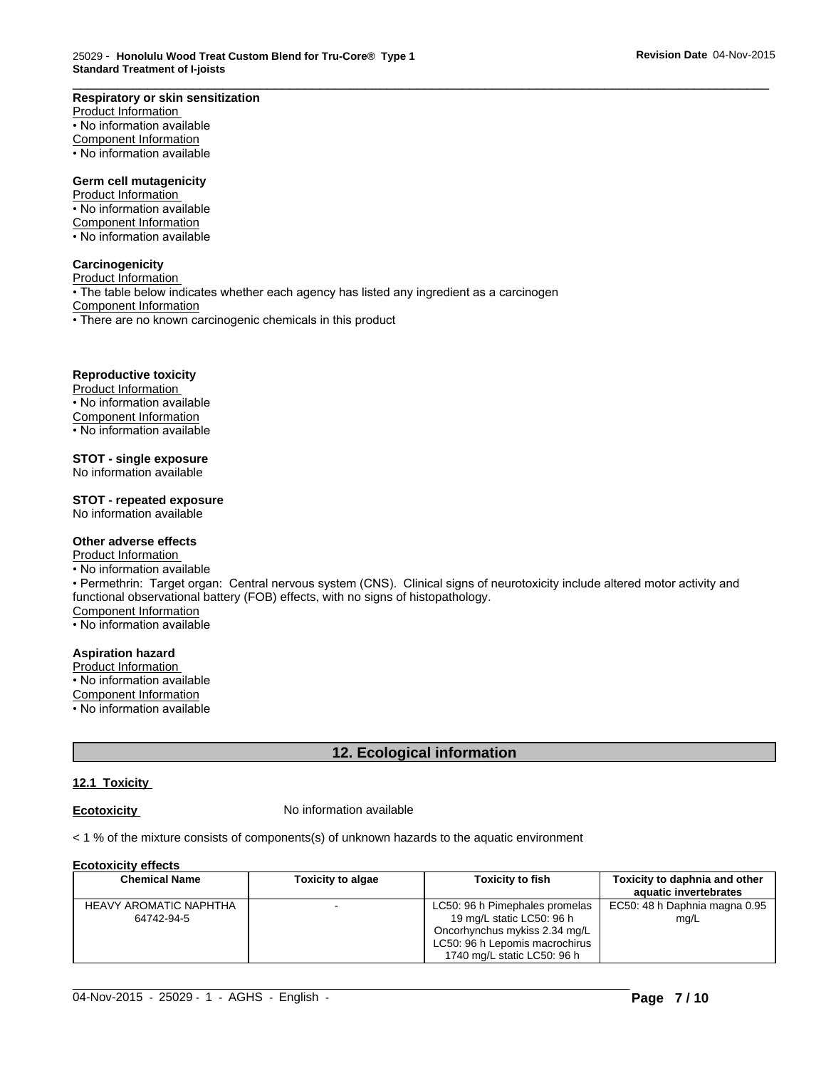#### **Respiratory or skin sensitization**

Product Information • No information available Component Information • No information available

## **Germ cell mutagenicity**

Product Information • No information available

Component Information

• No information available

#### **Carcinogenicity**

Product Information • The table below indicates whether each agency has listed any ingredient as a carcinogen **Component Information** • There are no known carcinogenic chemicals in this product

#### **Reproductive toxicity**

Product Information • No information available Component Information • No information available

**STOT - single exposure**

No information available

# **STOT - repeated exposure**

No information available

# **Other adverse effects**

Product Information

• No information available

• Permethrin: Target organ: Central nervous system (CNS). Clinical signs of neurotoxicity include altered motor activity and functional observational battery (FOB) effects, with no signs of histopathology. Component Information

\_\_\_\_\_\_\_\_\_\_\_\_\_\_\_\_\_\_\_\_\_\_\_\_\_\_\_\_\_\_\_\_\_\_\_\_\_\_\_\_\_\_\_\_\_\_\_\_\_\_\_\_\_\_\_\_\_\_\_\_\_\_\_\_\_\_\_\_\_\_\_\_\_\_\_\_\_\_\_\_\_\_\_\_\_\_\_\_\_\_\_\_\_

• No information available

# **Aspiration hazard**

Product Information

- No information available
- Component Information
- No information available

# **12. Ecological information**

## **12.1 Toxicity**

**Ecotoxicity No information available** 

< 1 % of the mixture consists of components(s) of unknown hazards to the aquatic environment

#### **Ecotoxicity effects**

| __________________ |                                             |                          |                                                                                                                                                               |                                                        |
|--------------------|---------------------------------------------|--------------------------|---------------------------------------------------------------------------------------------------------------------------------------------------------------|--------------------------------------------------------|
|                    | <b>Chemical Name</b>                        | <b>Toxicity to algae</b> | Toxicity to fish                                                                                                                                              | Toxicity to daphnia and other<br>aquatic invertebrates |
|                    | <b>HEAVY AROMATIC NAPHTHA</b><br>64742-94-5 |                          | LC50: 96 h Pimephales promelas<br>19 mg/L static LC50: 96 h<br>Oncorhynchus mykiss 2.34 mg/L<br>LC50: 96 h Lepomis macrochirus<br>1740 mg/L static LC50: 96 h | EC50: 48 h Daphnia magna 0.95<br>mg/L                  |

 $\_$  ,  $\_$  ,  $\_$  ,  $\_$  ,  $\_$  ,  $\_$  ,  $\_$  ,  $\_$  ,  $\_$  ,  $\_$  ,  $\_$  ,  $\_$  ,  $\_$  ,  $\_$  ,  $\_$  ,  $\_$  ,  $\_$  ,  $\_$  ,  $\_$  ,  $\_$  ,  $\_$  ,  $\_$  ,  $\_$  ,  $\_$  ,  $\_$  ,  $\_$  ,  $\_$  ,  $\_$  ,  $\_$  ,  $\_$  ,  $\_$  ,  $\_$  ,  $\_$  ,  $\_$  ,  $\_$  ,  $\_$  ,  $\_$  ,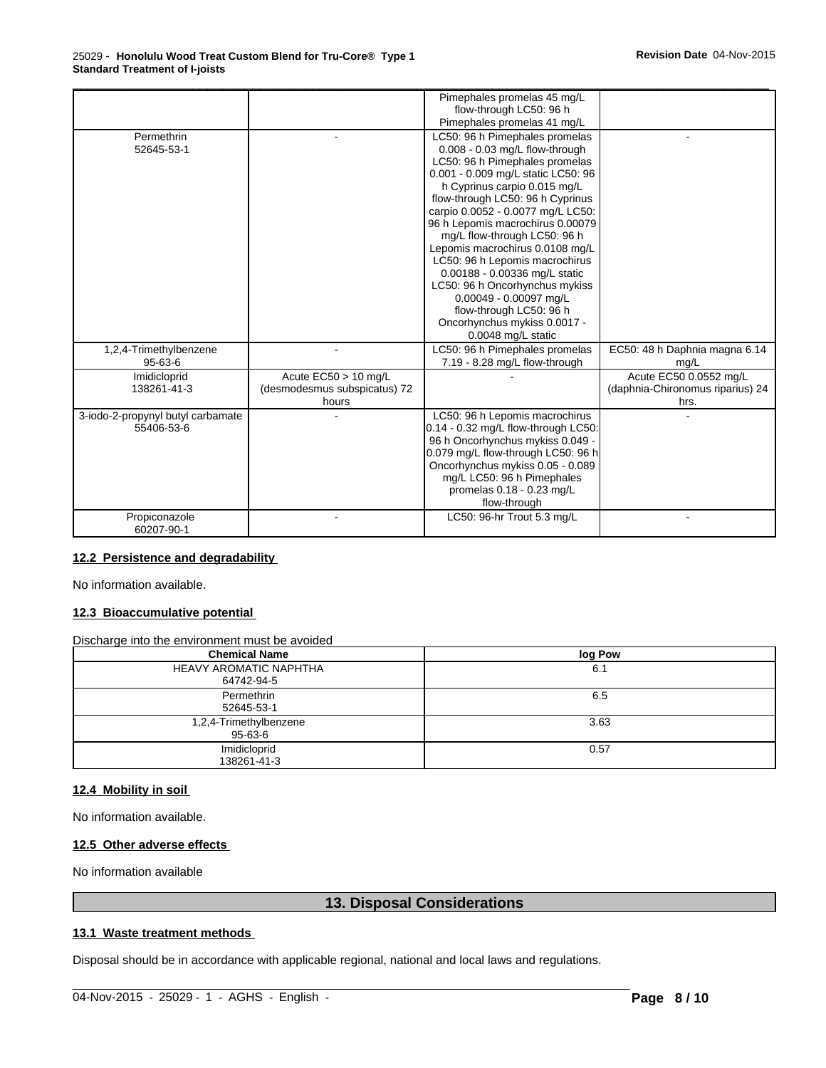|                                                 |                                                                 | Pimephales promelas 45 mg/L<br>flow-through LC50: 96 h<br>Pimephales promelas 41 mg/L                                                                                                                                                                                                                                                                                                                                                                                                                                                                                    |                                                                    |  |
|-------------------------------------------------|-----------------------------------------------------------------|--------------------------------------------------------------------------------------------------------------------------------------------------------------------------------------------------------------------------------------------------------------------------------------------------------------------------------------------------------------------------------------------------------------------------------------------------------------------------------------------------------------------------------------------------------------------------|--------------------------------------------------------------------|--|
| Permethrin<br>52645-53-1                        |                                                                 | LC50: 96 h Pimephales promelas<br>0.008 - 0.03 mg/L flow-through<br>LC50: 96 h Pimephales promelas<br>0.001 - 0.009 mg/L static LC50: 96<br>h Cyprinus carpio 0.015 mg/L<br>flow-through LC50: 96 h Cyprinus<br>carpio 0.0052 - 0.0077 mg/L LC50:<br>96 h Lepomis macrochirus 0.00079<br>mg/L flow-through LC50: 96 h<br>Lepomis macrochirus 0.0108 mg/L<br>LC50: 96 h Lepomis macrochirus<br>0.00188 - 0.00336 mg/L static<br>LC50: 96 h Oncorhynchus mykiss<br>0.00049 - 0.00097 mg/L<br>flow-through LC50: 96 h<br>Oncorhynchus mykiss 0.0017 -<br>0.0048 mg/L static |                                                                    |  |
| 1,2,4-Trimethylbenzene<br>$95 - 63 - 6$         |                                                                 | LC50: 96 h Pimephales promelas<br>7.19 - 8.28 mg/L flow-through                                                                                                                                                                                                                                                                                                                                                                                                                                                                                                          | EC50: 48 h Daphnia magna 6.14<br>mg/L                              |  |
| Imidicloprid<br>138261-41-3                     | Acute $EC50 > 10$ mg/L<br>(desmodesmus subspicatus) 72<br>hours |                                                                                                                                                                                                                                                                                                                                                                                                                                                                                                                                                                          | Acute EC50 0.0552 mg/L<br>(daphnia-Chironomus riparius) 24<br>hrs. |  |
| 3-iodo-2-propynyl butyl carbamate<br>55406-53-6 |                                                                 | LC50: 96 h Lepomis macrochirus<br>0.14 - 0.32 mg/L flow-through LC50:<br>96 h Oncorhynchus mykiss 0.049 -<br>0.079 mg/L flow-through LC50: 96 h<br>Oncorhynchus mykiss 0.05 - 0.089<br>mg/L LC50: 96 h Pimephales<br>promelas 0.18 - 0.23 mg/L<br>flow-through                                                                                                                                                                                                                                                                                                           |                                                                    |  |
| Propiconazole<br>60207-90-1                     |                                                                 | LC50: 96-hr Trout 5.3 mg/L                                                                                                                                                                                                                                                                                                                                                                                                                                                                                                                                               |                                                                    |  |

# **12.2 Persistence and degradability**

No information available.

# **12.3 Bioaccumulative potential**

Discharge into the environment must be avoided

| <b>Chemical Name</b>                        | log Pow |
|---------------------------------------------|---------|
| <b>HEAVY AROMATIC NAPHTHA</b><br>64742-94-5 | 6.1     |
| Permethrin<br>52645-53-1                    | 6.5     |
| 1,2,4-Trimethylbenzene<br>95-63-6           | 3.63    |
| Imidicloprid<br>138261-41-3                 | 0.57    |

### **12.4 Mobility in soil**

No information available.

# **12.5 Other adverse effects**

No information available

# **13. Disposal Considerations**

 $\_$  ,  $\_$  ,  $\_$  ,  $\_$  ,  $\_$  ,  $\_$  ,  $\_$  ,  $\_$  ,  $\_$  ,  $\_$  ,  $\_$  ,  $\_$  ,  $\_$  ,  $\_$  ,  $\_$  ,  $\_$  ,  $\_$  ,  $\_$  ,  $\_$  ,  $\_$  ,  $\_$  ,  $\_$  ,  $\_$  ,  $\_$  ,  $\_$  ,  $\_$  ,  $\_$  ,  $\_$  ,  $\_$  ,  $\_$  ,  $\_$  ,  $\_$  ,  $\_$  ,  $\_$  ,  $\_$  ,  $\_$  ,  $\_$  ,

## **13.1 Waste treatment methods**

Disposal should be in accordance with applicable regional, national and local laws and regulations.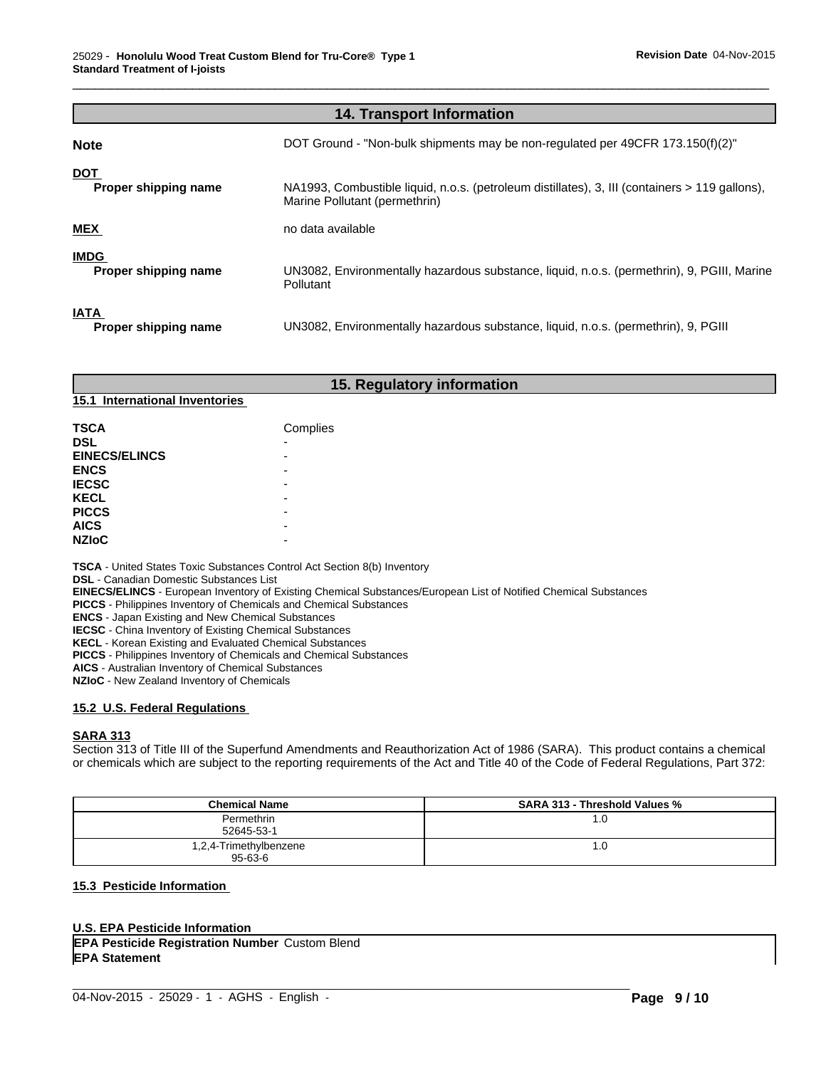|                                     | <b>14. Transport Information</b>                                                                                                |
|-------------------------------------|---------------------------------------------------------------------------------------------------------------------------------|
| <b>Note</b>                         | DOT Ground - "Non-bulk shipments may be non-regulated per 49CFR 173.150(f)(2)"                                                  |
| <b>DOT</b><br>Proper shipping name  | NA1993, Combustible liquid, n.o.s. (petroleum distillates), 3, III (containers > 119 gallons),<br>Marine Pollutant (permethrin) |
| <b>MEX</b>                          | no data available                                                                                                               |
| <b>IMDG</b><br>Proper shipping name | UN3082, Environmentally hazardous substance, liquid, n.o.s. (permethrin), 9, PGIII, Marine<br><b>Pollutant</b>                  |
| <b>IATA</b><br>Proper shipping name | UN3082, Environmentally hazardous substance, liquid, n.o.s. (permethrin), 9, PGIII                                              |

\_\_\_\_\_\_\_\_\_\_\_\_\_\_\_\_\_\_\_\_\_\_\_\_\_\_\_\_\_\_\_\_\_\_\_\_\_\_\_\_\_\_\_\_\_\_\_\_\_\_\_\_\_\_\_\_\_\_\_\_\_\_\_\_\_\_\_\_\_\_\_\_\_\_\_\_\_\_\_\_\_\_\_\_\_\_\_\_\_\_\_\_\_

# **15. Regulatory information**

# **15.1 International Inventories**

| <b>TSCA</b><br><b>DSL</b><br><b>EINECS/ELINCS</b><br><b>ENCS</b><br><b>IECSC</b><br><b>KECL</b><br><b>PICCS</b> | Complies<br>٠<br>۰<br>-<br>-<br>-<br>- |
|-----------------------------------------------------------------------------------------------------------------|----------------------------------------|
| <b>AICS</b>                                                                                                     |                                        |
| <b>NZIOC</b>                                                                                                    | -                                      |

**TSCA** - United States Toxic Substances Control Act Section 8(b) Inventory

**DSL** - Canadian Domestic Substances List

**EINECS/ELINCS** - European Inventory of Existing Chemical Substances/European List of Notified Chemical Substances

**PICCS** - Philippines Inventory of Chemicals and Chemical Substances

**ENCS** - Japan Existing and New Chemical Substances

**IECSC** - China Inventory of Existing Chemical Substances

**KECL** - Korean Existing and Evaluated Chemical Substances

**PICCS** - Philippines Inventory of Chemicals and Chemical Substances

**AICS** - Australian Inventory of Chemical Substances

**NZIoC** - New Zealand Inventory of Chemicals

# **15.2 U.S. Federal Regulations**

# **SARA 313**

Section 313 of Title III of the Superfund Amendments and Reauthorization Act of 1986 (SARA). This product contains a chemical or chemicals which are subject to the reporting requirements of the Act and Title 40 of the Code of Federal Regulations, Part 372:

| <b>Chemical Name</b>   | <b>SARA 313 - Threshold Values %</b> |
|------------------------|--------------------------------------|
| Permethrin             | . 0.                                 |
| 52645-53-1             |                                      |
| 1,2,4-Trimethylbenzene | . 0.                                 |
| $95 - 63 - 6$          |                                      |

 $\_$  ,  $\_$  ,  $\_$  ,  $\_$  ,  $\_$  ,  $\_$  ,  $\_$  ,  $\_$  ,  $\_$  ,  $\_$  ,  $\_$  ,  $\_$  ,  $\_$  ,  $\_$  ,  $\_$  ,  $\_$  ,  $\_$  ,  $\_$  ,  $\_$  ,  $\_$  ,  $\_$  ,  $\_$  ,  $\_$  ,  $\_$  ,  $\_$  ,  $\_$  ,  $\_$  ,  $\_$  ,  $\_$  ,  $\_$  ,  $\_$  ,  $\_$  ,  $\_$  ,  $\_$  ,  $\_$  ,  $\_$  ,  $\_$  ,

# **15.3 Pesticide Information**

# **U.S. EPA Pesticide Information**

**EPA Statement<br>
34-Nov-2015 - 25029 - 1 - AGHS - English -EPA Pesticide Registration Number** Custom Blend